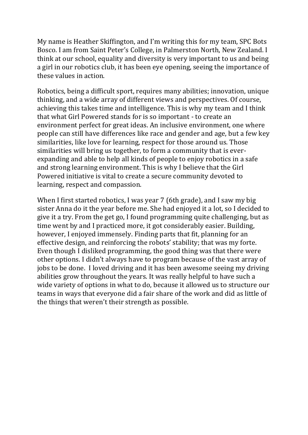My name is Heather Skiffington, and I'm writing this for my team, SPC Bots Bosco. I am from Saint Peter's College, in Palmerston North, New Zealand. I think at our school, equality and diversity is very important to us and being a girl in our robotics club, it has been eye opening, seeing the importance of these values in action.

Robotics, being a difficult sport, requires many abilities; innovation, unique thinking, and a wide array of different views and perspectives. Of course, achieving this takes time and intelligence. This is why my team and I think that what Girl Powered stands for is so important - to create an environment perfect for great ideas. An inclusive environment, one where people can still have differences like race and gender and age, but a few key similarities, like love for learning, respect for those around us. Those similarities will bring us together, to form a community that is everexpanding and able to help all kinds of people to enjoy robotics in a safe and strong learning environment. This is why I believe that the Girl Powered initiative is vital to create a secure community devoted to learning, respect and compassion.

When I first started robotics, I was year 7 (6th grade), and I saw my big sister Anna do it the year before me. She had enjoyed it a lot, so I decided to give it a try. From the get go, I found programming quite challenging, but as time went by and I practiced more, it got considerably easier. Building, however, I enjoyed immensely. Finding parts that fit, planning for an effective design, and reinforcing the robots' stability; that was my forte. Even though I disliked programming, the good thing was that there were other options. I didn't always have to program because of the vast array of jobs to be done. I loved driving and it has been awesome seeing my driving abilities grow throughout the years. It was really helpful to have such a wide variety of options in what to do, because it allowed us to structure our teams in ways that everyone did a fair share of the work and did as little of the things that weren't their strength as possible.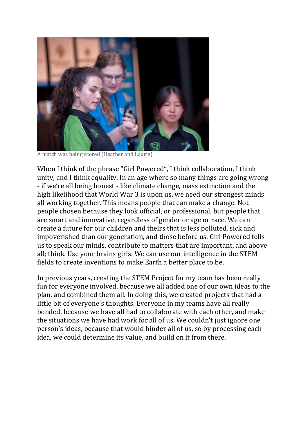

A match was being scored (Heather and Laurie)

When I think of the phrase "Girl Powered", I think collaboration, I think unity, and I think equality. In an age where so many things are going wrong - if we're all being honest - like climate change, mass extinction and the high likelihood that World War 3 is upon us, we need our strongest minds all working together. This means people that can make a change. Not people chosen because they look official, or professional, but people that are smart and innovative, regardless of gender or age or race. We can create a future for our children and theirs that is less polluted, sick and impoverished than our generation, and those before us. Girl Powered tells us to speak our minds, contribute to matters that are important, and above all; think. Use your brains girls. We can use our intelligence in the STEM fields to create inventions to make Earth a better place to be.

In previous years, creating the STEM Project for my team has been really fun for everyone involved, because we all added one of our own ideas to the plan, and combined them all. In doing this, we created projects that had a little bit of everyone's thoughts. Everyone in my teams have all really bonded, because we have all had to collaborate with each other, and make the situations we have had work for all of us. We couldn't just ignore one person's ideas, because that would hinder all of us, so by processing each idea, we could determine its value, and build on it from there.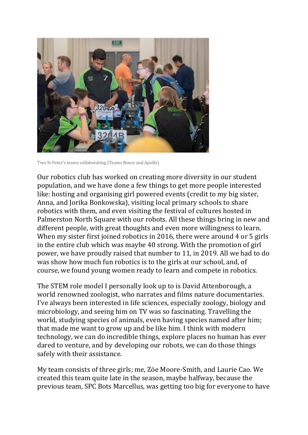

Two St Peter's teams collaborating (Teams Bosco and Apollo)

Our robotics club has worked on creating more diversity in our student population, and we have done a few things to get more people interested like: hosting and organising girl powered events (credit to my big sister, Anna, and Jorika Bonkowska), visiting local primary schools to share robotics with them, and even visiting the festival of cultures hosted in Palmerston North Square with our robots. All these things bring in new and different people, with great thoughts and even more willingness to learn. When my sister first joined robotics in 2016, there were around 4 or 5 girls in the entire club which was maybe 40 strong. With the promotion of girl power, we have proudly raised that number to 11, in 2019. All we had to do was show how much fun robotics is to the girls at our school, and, of course, we found young women ready to learn and compete in robotics.

The STEM role model I personally look up to is David Attenborough, a world renowned zoologist, who narrates and films nature documentaries. I've always been interested in life sciences, especially zoology, biology and microbiology, and seeing him on TV was so fascinating. Travelling the world, studying species of animals, even having species named after him; that made me want to grow up and be like him. I think with modern technology, we can do incredible things, explore places no human has ever dared to venture, and by developing our robots, we can do those things safely with their assistance.

My team consists of three girls; me, Zöe Moore-Smith, and Laurie Cao. We created this team quite late in the season, maybe halfway, because the previous team, SPC Bots Marcellus, was getting too big for everyone to have